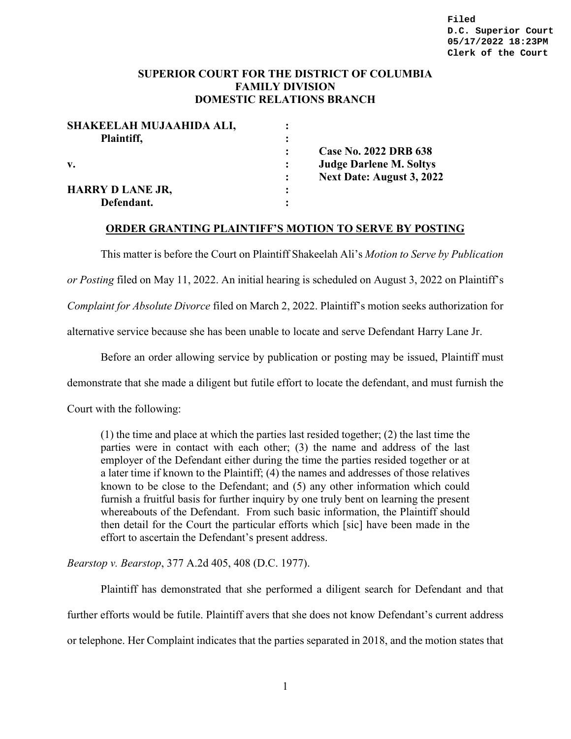### **SUPERIOR COURT FOR THE DISTRICT OF COLUMBIA FAMILY DIVISION DOMESTIC RELATIONS BRANCH**

| SHAKEELAH MUJAAHIDA ALI, |                |                                  |
|--------------------------|----------------|----------------------------------|
| Plaintiff,               |                |                                  |
|                          |                | Case No. 2022 DRB 638            |
| $\mathbf{v}$ .           |                | <b>Judge Darlene M. Soltys</b>   |
|                          | $\ddot{\cdot}$ | <b>Next Date: August 3, 2022</b> |
| <b>HARRY D LANE JR,</b>  |                |                                  |
| Defendant.               |                |                                  |

#### **ORDER GRANTING PLAINTIFF'S MOTION TO SERVE BY POSTING**

This matter is before the Court on Plaintiff Shakeelah Ali's *Motion to Serve by Publication* 

*or Posting* filed on May 11, 2022. An initial hearing is scheduled on August 3, 2022 on Plaintiff's

*Complaint for Absolute Divorce* filed on March 2, 2022. Plaintiff's motion seeks authorization for

alternative service because she has been unable to locate and serve Defendant Harry Lane Jr.

Before an order allowing service by publication or posting may be issued, Plaintiff must

demonstrate that she made a diligent but futile effort to locate the defendant, and must furnish the

Court with the following:

(1) the time and place at which the parties last resided together; (2) the last time the parties were in contact with each other; (3) the name and address of the last employer of the Defendant either during the time the parties resided together or at a later time if known to the Plaintiff; (4) the names and addresses of those relatives known to be close to the Defendant; and (5) any other information which could furnish a fruitful basis for further inquiry by one truly bent on learning the present whereabouts of the Defendant. From such basic information, the Plaintiff should then detail for the Court the particular efforts which [sic] have been made in the effort to ascertain the Defendant's present address.

*Bearstop v. Bearstop*, 377 A.2d 405, 408 (D.C. 1977).

Plaintiff has demonstrated that she performed a diligent search for Defendant and that further efforts would be futile. Plaintiff avers that she does not know Defendant's current address or telephone. Her Complaint indicates that the parties separated in 2018, and the motion states that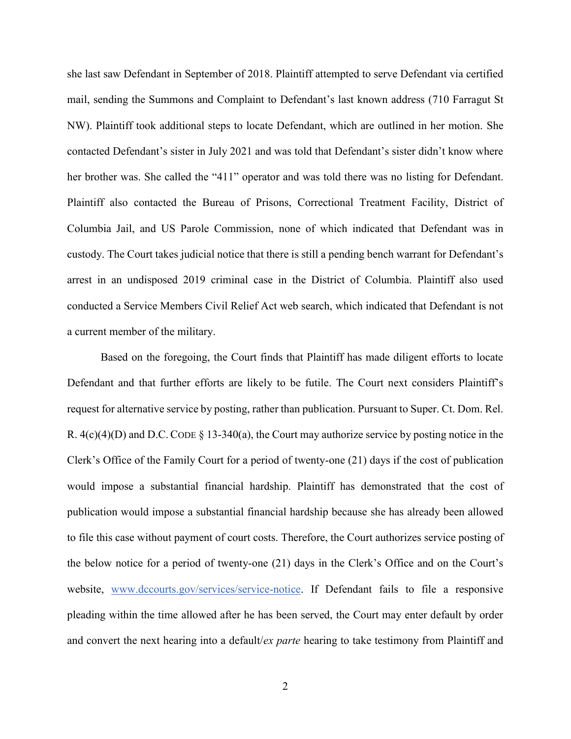she last saw Defendant in September of 2018. Plaintiff attempted to serve Defendant via certified mail, sending the Summons and Complaint to Defendant's last known address (710 Farragut St NW). Plaintiff took additional steps to locate Defendant, which are outlined in her motion. She contacted Defendant's sister in July 2021 and was told that Defendant's sister didn't know where her brother was. She called the "411" operator and was told there was no listing for Defendant. Plaintiff also contacted the Bureau of Prisons, Correctional Treatment Facility, District of Columbia Jail, and US Parole Commission, none of which indicated that Defendant was in custody. The Court takes judicial notice that there is still a pending bench warrant for Defendant's arrest in an undisposed 2019 criminal case in the District of Columbia. Plaintiff also used conducted a Service Members Civil Relief Act web search, which indicated that Defendant is not a current member of the military.

Based on the foregoing, the Court finds that Plaintiff has made diligent efforts to locate Defendant and that further efforts are likely to be futile. The Court next considers Plaintiff's request for alternative service by posting, rather than publication. Pursuant to Super. Ct. Dom. Rel. R.  $4(c)(4)(D)$  and D.C. CODE § 13-340(a), the Court may authorize service by posting notice in the Clerk's Office of the Family Court for a period of twenty-one (21) days if the cost of publication would impose a substantial financial hardship. Plaintiff has demonstrated that the cost of publication would impose a substantial financial hardship because she has already been allowed to file this case without payment of court costs. Therefore, the Court authorizes service posting of the below notice for a period of twenty-one (21) days in the Clerk's Office and on the Court's website, [www.dccourts.gov/services/service-notice.](http://www.dccourts.gov/services/service-notice) If Defendant fails to file a responsive pleading within the time allowed after he has been served, the Court may enter default by order and convert the next hearing into a default/*ex parte* hearing to take testimony from Plaintiff and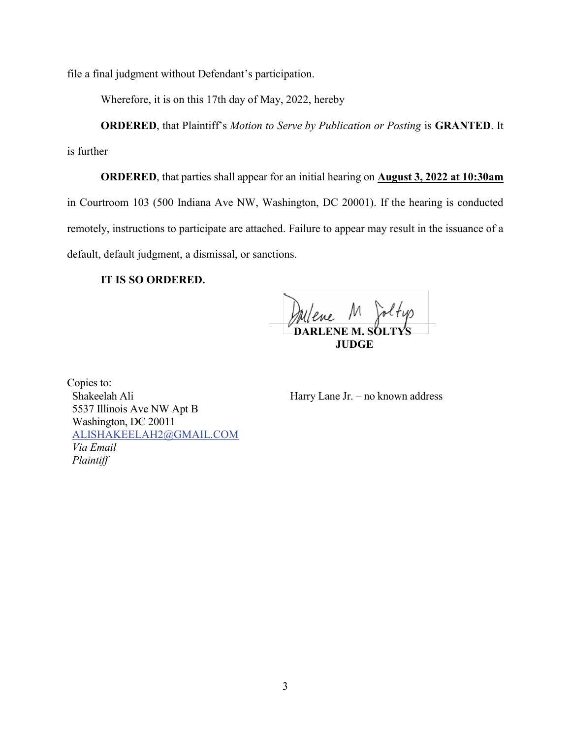file a final judgment without Defendant's participation.

Wherefore, it is on this 17th day of May, 2022, hereby

**ORDERED**, that Plaintiff's *Motion to Serve by Publication or Posting* is **GRANTED**. It

is further

**ORDERED**, that parties shall appear for an initial hearing on **August 3, 2022 at 10:30am** in Courtroom 103 (500 Indiana Ave NW, Washington, DC 20001). If the hearing is conducted remotely, instructions to participate are attached. Failure to appear may result in the issuance of a default, default judgment, a dismissal, or sanctions.

### **IT IS SO ORDERED.**

lene M Joltyp **DARLENE M. SÖL JUDGE**

Copies to: Shakeelah Ali 5537 Illinois Ave NW Apt B Washington, DC 20011 [ALISHAKEELAH2@GMAIL.COM](mailto:ALISHAKEELAH2@GMAIL.COM) *Via Email Plaintiff* 

Harry Lane Jr. – no known address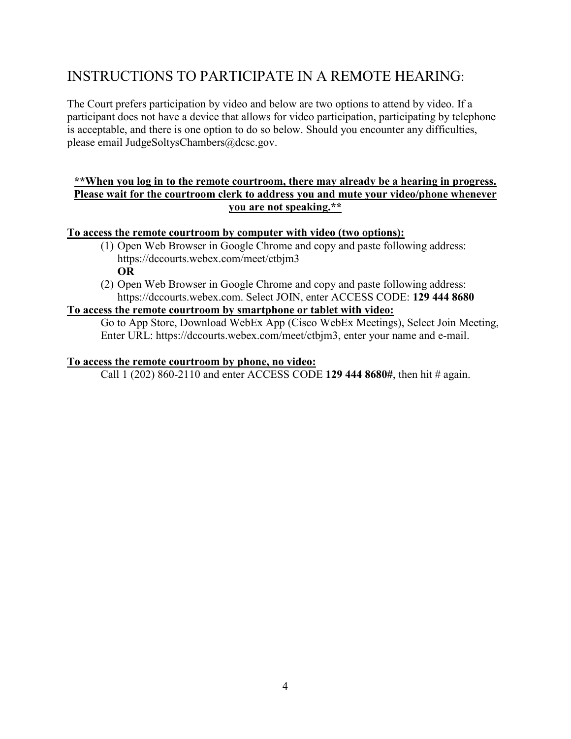# INSTRUCTIONS TO PARTICIPATE IN A REMOTE HEARING:

The Court prefers participation by video and below are two options to attend by video. If a participant does not have a device that allows for video participation, participating by telephone is acceptable, and there is one option to do so below. Should you encounter any difficulties, please email JudgeSoltysChambers@dcsc.gov.

## **\*\*When you log in to the remote courtroom, there may already be a hearing in progress. Please wait for the courtroom clerk to address you and mute your video/phone whenever you are not speaking.\*\***

## **To access the remote courtroom by computer with video (two options):**

- (1) Open Web Browser in Google Chrome and copy and paste following address: https://dccourts.webex.com/meet/ctbjm3 **OR**
- (2) Open Web Browser in Google Chrome and copy and paste following address: https://dccourts.webex.com. Select JOIN, enter ACCESS CODE: **129 444 8680**

## **To access the remote courtroom by smartphone or tablet with video:**

Go to App Store, Download WebEx App (Cisco WebEx Meetings), Select Join Meeting, Enter URL: https://dccourts.webex.com/meet/ctbjm3, enter your name and e-mail.

## **To access the remote courtroom by phone, no video:**

Call 1 (202) 860-2110 and enter ACCESS CODE **129 444 8680#**, then hit # again.